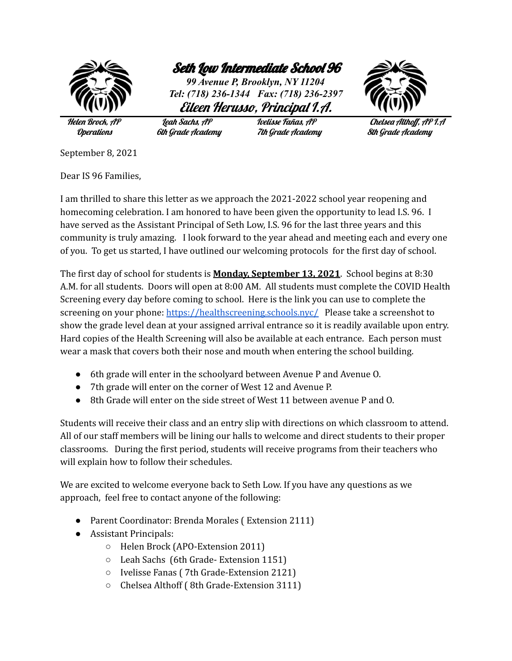

Seth Low Intermediate School 96

*99 Avenue P, Brooklyn, NY 11204 Tel: (718) 236-1344 Fax: (718) 236-2397* Eileen Herusso, Principal I.A.



Operations 6th Grade Academy 7th Grade Academy 8th Grade Academy

Helen Brock, AP Leah Sachs, AP Ivelisse Fañas, AP Chelsea Althoff, AP I.A

September 8, 2021

Dear IS 96 Families,

I am thrilled to share this letter as we approach the 2021-2022 school year reopening and homecoming celebration. I am honored to have been given the opportunity to lead I.S. 96. I have served as the Assistant Principal of Seth Low, I.S. 96 for the last three years and this community is truly amazing. I look forward to the year ahead and meeting each and every one of you. To get us started, I have outlined our welcoming protocols for the first day of school.

The first day of school for students is **Monday, September 13, 2021**. School begins at 8:30 A.M. for all students. Doors will open at 8:00 AM. All students must complete the COVID Health Screening every day before coming to school. Here is the link you can use to complete the screening on your phone: <https://healthscreening.schools.nyc/> Please take a screenshot to show the grade level dean at your assigned arrival entrance so it is readily available upon entry. Hard copies of the Health Screening will also be available at each entrance. Each person must wear a mask that covers both their nose and mouth when entering the school building.

- 6th grade will enter in the schoolyard between Avenue P and Avenue O.
- 7th grade will enter on the corner of West 12 and Avenue P.
- 8th Grade will enter on the side street of West 11 between avenue P and O.

Students will receive their class and an entry slip with directions on which classroom to attend. All of our staff members will be lining our halls to welcome and direct students to their proper classrooms. During the first period, students will receive programs from their teachers who will explain how to follow their schedules.

We are excited to welcome everyone back to Seth Low. If you have any questions as we approach, feel free to contact anyone of the following:

- Parent Coordinator: Brenda Morales ( Extension 2111)
- Assistant Principals:
	- Helen Brock (APO-Extension 2011)
	- Leah Sachs (6th Grade- Extension 1151)
	- Ivelisse Fanas ( 7th Grade-Extension 2121)
	- Chelsea Althoff ( 8th Grade-Extension 3111)